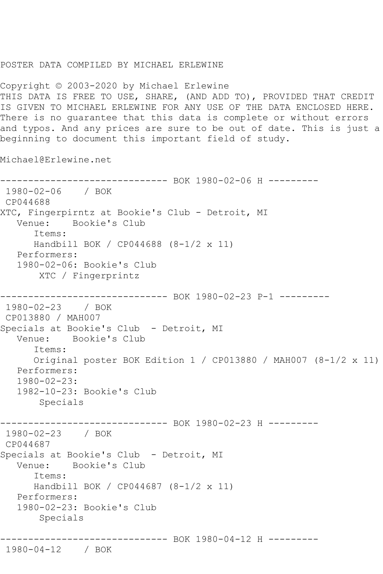## POSTER DATA COMPILED BY MICHAEL ERLEWINE

Copyright © 2003-2020 by Michael Erlewine THIS DATA IS FREE TO USE, SHARE, (AND ADD TO), PROVIDED THAT CREDIT IS GIVEN TO MICHAEL ERLEWINE FOR ANY USE OF THE DATA ENCLOSED HERE. There is no guarantee that this data is complete or without errors and typos. And any prices are sure to be out of date. This is just a beginning to document this important field of study.

Michael@Erlewine.net

```
------------------------------ BOK 1980-02-06 H ---------
1980-02-06 / BOK 
CP044688
XTC, Fingerpirntz at Bookie's Club - Detroit, MI
   Venue: Bookie's Club
       Items:
       Handbill BOK / CP044688 (8-1/2 x 11)
   Performers:
    1980-02-06: Bookie's Club
        XTC / Fingerprintz
------------------------------ BOK 1980-02-23 P-1 ---------
1980-02-23 / BOK 
CP013880 / MAH007
Specials at Bookie's Club - Detroit, MI<br>Venue: Bookie's Club
           Bookie's Club
       Items:
       Original poster BOK Edition 1 / CP013880 / MAH007 (8-1/2 x 11)
   Performers:
   1980-02-23:
    1982-10-23: Bookie's Club
        Specials
                       ------------------------------ BOK 1980-02-23 H ---------
1980-02-23 / BOK 
CP044687
Specials at Bookie's Club - Detroit, MI
   Venue: Bookie's Club
       Items:
       Handbill BOK / CP044687 (8-1/2 x 11)
    Performers:
    1980-02-23: Bookie's Club
        Specials
------------------------------ BOK 1980-04-12 H ---------
1980-04-12 / BOK
```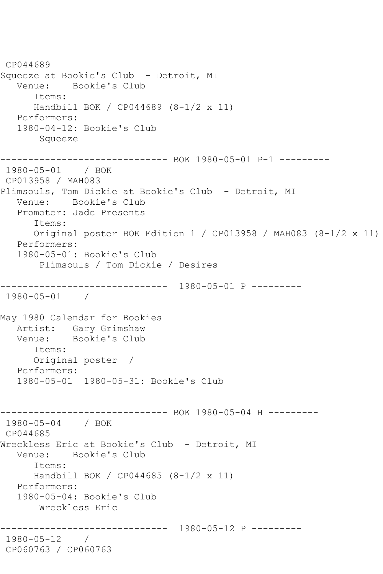CP044689 Squeeze at Bookie's Club - Detroit, MI Venue: Bookie's Club Items: Handbill BOK / CP044689 (8-1/2 x 11) Performers: 1980-04-12: Bookie's Club Squeeze ------------------------------ BOK 1980-05-01 P-1 --------- 1980-05-01 / BOK CP013958 / MAH083 Plimsouls, Tom Dickie at Bookie's Club - Detroit, MI Venue: Bookie's Club Promoter: Jade Presents Items: Original poster BOK Edition 1 / CP013958 / MAH083 (8-1/2 x 11) Performers: 1980-05-01: Bookie's Club Plimsouls / Tom Dickie / Desires ------------------------------ 1980-05-01 P --------- 1980-05-01 / May 1980 Calendar for Bookies Artist: Gary Grimshaw Venue: Bookie's Club Items: Original poster / Performers: 1980-05-01 1980-05-31: Bookie's Club ------------------------------ BOK 1980-05-04 H --------- 1980-05-04 / BOK CP044685 Wreckless Eric at Bookie's Club - Detroit, MI Venue: Bookie's Club Items: Handbill BOK / CP044685 (8-1/2 x 11) Performers: 1980-05-04: Bookie's Club Wreckless Eric ------------------------------ 1980-05-12 P --------- 1980-05-12 / CP060763 / CP060763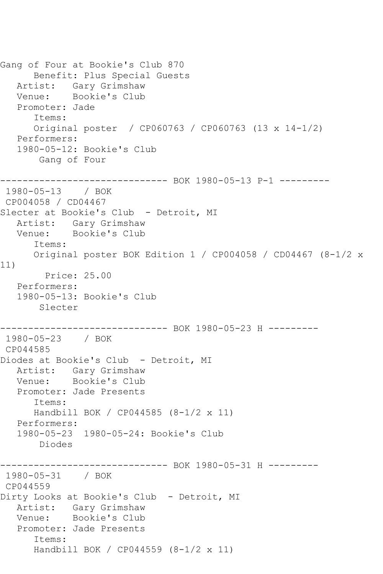Gang of Four at Bookie's Club 870 Benefit: Plus Special Guests Artist: Gary Grimshaw Venue: Bookie's Club Promoter: Jade Items: Original poster / CP060763 / CP060763 (13 x 14-1/2) Performers: 1980-05-12: Bookie's Club Gang of Four ------------------------------ BOK 1980-05-13 P-1 --------- 1980-05-13 / BOK CP004058 / CD04467 Slecter at Bookie's Club - Detroit, MI Artist: Gary Grimshaw Venue: Bookie's Club Items: Original poster BOK Edition 1 / CP004058 / CD04467 (8-1/2 x 11) Price: 25.00 Performers: 1980-05-13: Bookie's Club Slecter ------------------------------ BOK 1980-05-23 H --------- 1980-05-23 / BOK CP044585 Diodes at Bookie's Club - Detroit, MI Artist: Gary Grimshaw Venue: Bookie's Club Promoter: Jade Presents Items: Handbill BOK / CP044585 (8-1/2 x 11) Performers: 1980-05-23 1980-05-24: Bookie's Club Diodes ------------------------------ BOK 1980-05-31 H --------- 1980-05-31 / BOK CP044559 Dirty Looks at Bookie's Club - Detroit, MI Artist: Gary Grimshaw<br>Venue: Bookie's Club Bookie's Club Promoter: Jade Presents Items: Handbill BOK / CP044559 (8-1/2 x 11)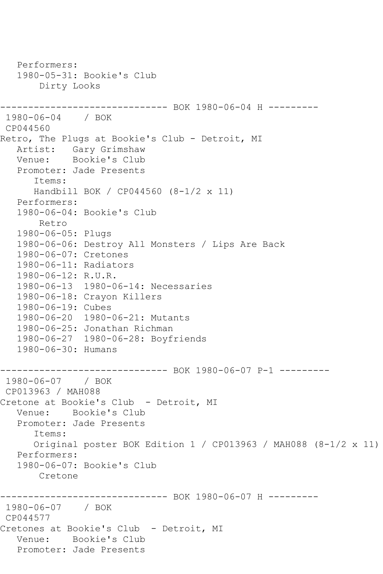```
 Performers:
   1980-05-31: Bookie's Club
        Dirty Looks
------------------------------ BOK 1980-06-04 H ---------
1980-06-04 / BOK 
CP044560
Retro, The Plugs at Bookie's Club - Detroit, MI
   Artist: Gary Grimshaw
   Venue: Bookie's Club
   Promoter: Jade Presents
       Items:
       Handbill BOK / CP044560 (8-1/2 x 11)
   Performers:
   1980-06-04: Bookie's Club
       Retro
   1980-06-05: Plugs
   1980-06-06: Destroy All Monsters / Lips Are Back
   1980-06-07: Cretones
   1980-06-11: Radiators
   1980-06-12: R.U.R.
   1980-06-13 1980-06-14: Necessaries
   1980-06-18: Crayon Killers
   1980-06-19: Cubes
   1980-06-20 1980-06-21: Mutants
   1980-06-25: Jonathan Richman
   1980-06-27 1980-06-28: Boyfriends
   1980-06-30: Humans
------------------------------ BOK 1980-06-07 P-1 ---------
1980-06-07 / BOK 
CP013963 / MAH088
Cretone at Bookie's Club - Detroit, MI
   Venue: Bookie's Club
   Promoter: Jade Presents
       Items:
      Original poster BOK Edition 1 / CP013963 / MAH088 (8-1/2 x 11)
   Performers:
   1980-06-07: Bookie's Club
       Cretone
------------------------------ BOK 1980-06-07 H ---------
1980-06-07 / BOK 
CP044577
Cretones at Bookie's Club - Detroit, MI
   Venue: Bookie's Club
   Promoter: Jade Presents
```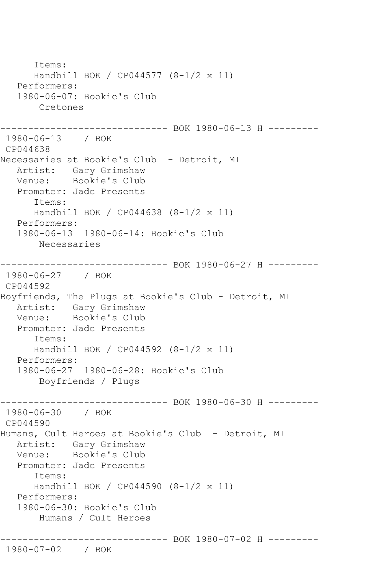```
 Items:
      Handbill BOK / CP044577 (8-1/2 x 11)
   Performers:
   1980-06-07: Bookie's Club
       Cretones
------------------------------ BOK 1980-06-13 H ---------
1980-06-13 / BOK 
CP044638
Necessaries at Bookie's Club - Detroit, MI
 Artist: Gary Grimshaw
 Venue: Bookie's Club
   Promoter: Jade Presents
      Items:
      Handbill BOK / CP044638 (8-1/2 x 11)
   Performers:
   1980-06-13 1980-06-14: Bookie's Club
       Necessaries
------------------------------ BOK 1980-06-27 H ---------
1980-06-27 / BOK 
CP044592
Boyfriends, The Plugs at Bookie's Club - Detroit, MI
 Artist: Gary Grimshaw
 Venue: Bookie's Club
   Promoter: Jade Presents
      Items:
      Handbill BOK / CP044592 (8-1/2 x 11)
   Performers:
   1980-06-27 1980-06-28: Bookie's Club
       Boyfriends / Plugs
------------------------------ BOK 1980-06-30 H ---------
1980-06-30 / BOK 
CP044590
Humans, Cult Heroes at Bookie's Club - Detroit, MI
   Artist: Gary Grimshaw
   Venue: Bookie's Club
   Promoter: Jade Presents
      Items:
      Handbill BOK / CP044590 (8-1/2 x 11)
   Performers:
   1980-06-30: Bookie's Club
       Humans / Cult Heroes
             ----------------- BOK 1980-07-02 H ---------
1980-07-02 / BOK
```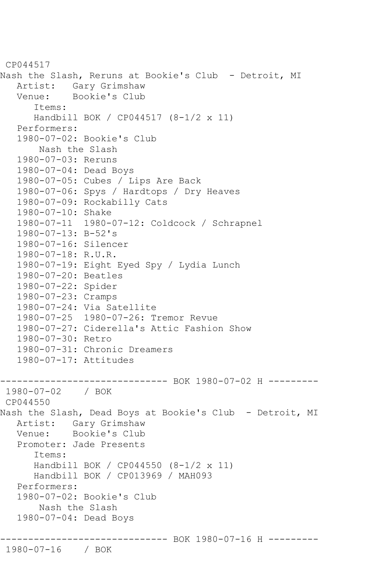```
CP044517
Nash the Slash, Reruns at Bookie's Club - Detroit, MI
   Artist: Gary Grimshaw
   Venue: Bookie's Club
       Items:
       Handbill BOK / CP044517 (8-1/2 x 11)
    Performers:
    1980-07-02: Bookie's Club
        Nash the Slash
    1980-07-03: Reruns
    1980-07-04: Dead Boys
    1980-07-05: Cubes / Lips Are Back
    1980-07-06: Spys / Hardtops / Dry Heaves
    1980-07-09: Rockabilly Cats
   1980-07-10: Shake
   1980-07-11 1980-07-12: Coldcock / Schrapnel
    1980-07-13: B-52's
    1980-07-16: Silencer
   1980-07-18: R.U.R.
    1980-07-19: Eight Eyed Spy / Lydia Lunch
    1980-07-20: Beatles
    1980-07-22: Spider
    1980-07-23: Cramps
    1980-07-24: Via Satellite
   1980-07-25 1980-07-26: Tremor Revue
    1980-07-27: Ciderella's Attic Fashion Show
   1980-07-30: Retro
    1980-07-31: Chronic Dreamers
    1980-07-17: Attitudes
------------------------------ BOK 1980-07-02 H ---------
1980-07-02 / BOK 
CP044550
Nash the Slash, Dead Boys at Bookie's Club - Detroit, MI
   Artist: Gary Grimshaw
   Venue: Bookie's Club
   Promoter: Jade Presents
       Items:
       Handbill BOK / CP044550 (8-1/2 x 11)
       Handbill BOK / CP013969 / MAH093
    Performers:
    1980-07-02: Bookie's Club
        Nash the Slash
   1980-07-04: Dead Boys
         ------------------------------ BOK 1980-07-16 H ---------
1980-07-16 / BOK
```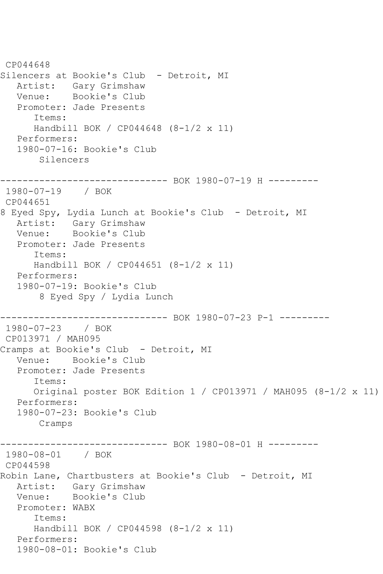```
CP044648
Silencers at Bookie's Club - Detroit, MI
   Artist: Gary Grimshaw
   Venue: Bookie's Club
   Promoter: Jade Presents
      Items:
      Handbill BOK / CP044648 (8-1/2 x 11)
   Performers:
   1980-07-16: Bookie's Club
       Silencers
------------------------------ BOK 1980-07-19 H ---------
1980-07-19 / BOK 
CP044651
8 Eyed Spy, Lydia Lunch at Bookie's Club - Detroit, MI
   Artist: Gary Grimshaw
   Venue: Bookie's Club
   Promoter: Jade Presents
      Items:
      Handbill BOK / CP044651 (8-1/2 x 11)
   Performers:
   1980-07-19: Bookie's Club
        8 Eyed Spy / Lydia Lunch
                   ----------- BOK 1980-07-23 P-1 ---------
1980-07-23 / BOK 
CP013971 / MAH095
Cramps at Bookie's Club - Detroit, MI
   Venue: Bookie's Club
   Promoter: Jade Presents
      Items:
      Original poster BOK Edition 1 / CP013971 / MAH095 (8-1/2 x 11)
   Performers:
   1980-07-23: Bookie's Club
       Cramps
------------------------------ BOK 1980-08-01 H ---------
1980-08-01 / BOK 
CP044598
Robin Lane, Chartbusters at Bookie's Club - Detroit, MI
   Artist: Gary Grimshaw
   Venue: Bookie's Club
   Promoter: WABX
      Items:
      Handbill BOK / CP044598 (8-1/2 x 11)
   Performers:
   1980-08-01: Bookie's Club
```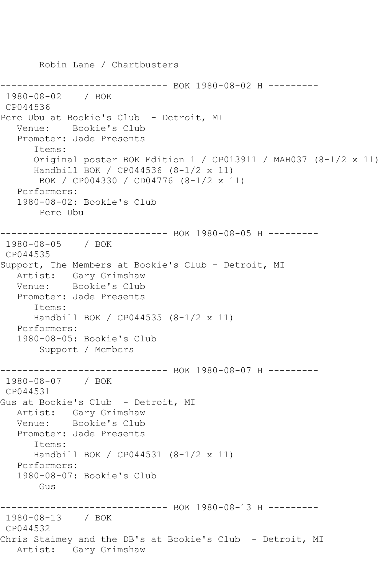Robin Lane / Chartbusters ---------- BOK 1980-08-02 H ---------1980-08-02 / BOK CP044536 Pere Ubu at Bookie's Club - Detroit, MI Venue: Bookie's Club Promoter: Jade Presents Items: Original poster BOK Edition 1 / CP013911 / MAH037 (8-1/2 x 11) Handbill BOK / CP044536 (8-1/2 x 11) BOK / CP004330 / CD04776 (8-1/2 x 11) Performers: 1980-08-02: Bookie's Club Pere Ubu ------------------------------ BOK 1980-08-05 H --------- 1980-08-05 / BOK CP044535 Support, The Members at Bookie's Club - Detroit, MI Artist: Gary Grimshaw Venue: Bookie's Club Promoter: Jade Presents Items: Handbill BOK / CP044535 (8-1/2 x 11) Performers: 1980-08-05: Bookie's Club Support / Members ------------------------------ BOK 1980-08-07 H --------- 1980-08-07 / BOK CP044531 Gus at Bookie's Club - Detroit, MI Artist: Gary Grimshaw Venue: Bookie's Club Promoter: Jade Presents Items: Handbill BOK / CP044531 (8-1/2 x 11) Performers: 1980-08-07: Bookie's Club Gus ------------------------------ BOK 1980-08-13 H --------- 1980-08-13 / BOK CP044532 Chris Staimey and the DB's at Bookie's Club - Detroit, MI Artist: Gary Grimshaw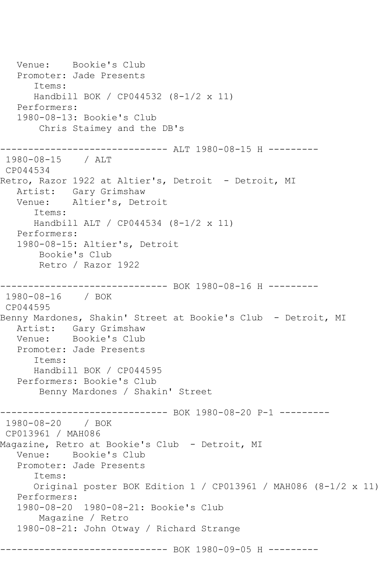Venue: Bookie's Club Promoter: Jade Presents Items: Handbill BOK / CP044532 (8-1/2 x 11) Performers: 1980-08-13: Bookie's Club Chris Staimey and the DB's ------------------------------ ALT 1980-08-15 H --------- 1980-08-15 / ALT CP044534 Retro, Razor 1922 at Altier's, Detroit - Detroit, MI Artist: Gary Grimshaw Venue: Altier's, Detroit Items: Handbill ALT / CP044534 (8-1/2 x 11) Performers: 1980-08-15: Altier's, Detroit Bookie's Club Retro / Razor 1922 ------------------------------ BOK 1980-08-16 H --------- 1980-08-16 / BOK CP044595 Benny Mardones, Shakin' Street at Bookie's Club - Detroit, MI Artist: Gary Grimshaw Venue: Bookie's Club Promoter: Jade Presents Items: Handbill BOK / CP044595 Performers: Bookie's Club Benny Mardones / Shakin' Street ------------------------------ BOK 1980-08-20 P-1 --------- 1980-08-20 / BOK CP013961 / MAH086 Magazine, Retro at Bookie's Club - Detroit, MI Venue: Bookie's Club Promoter: Jade Presents Items: Original poster BOK Edition 1 / CP013961 / MAH086 (8-1/2 x 11) Performers: 1980-08-20 1980-08-21: Bookie's Club Magazine / Retro 1980-08-21: John Otway / Richard Strange ------------------------------ BOK 1980-09-05 H ---------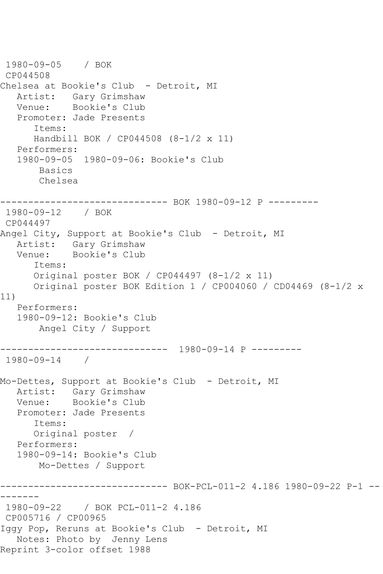```
1980-09-05 / BOK 
CP044508
Chelsea at Bookie's Club - Detroit, MI
  Artist: Gary Grimshaw<br>Venue: Bookie's Club
           Bookie's Club
   Promoter: Jade Presents
       Items:
      Handbill BOK / CP044508 (8-1/2 x 11)
   Performers:
   1980-09-05 1980-09-06: Bookie's Club
       Basics
       Chelsea
------------------------------ BOK 1980-09-12 P ---------
1980-09-12 / BOK 
CP044497
Angel City, Support at Bookie's Club - Detroit, MI
   Artist: Gary Grimshaw
   Venue: Bookie's Club
      Items:
      Original poster BOK / CP044497 (8-1/2 x 11)
      Original poster BOK Edition 1 / CP004060 / CD04469 (8-1/2 x 
11)
   Performers:
   1980-09-12: Bookie's Club
       Angel City / Support
------------------------------ 1980-09-14 P ---------
1980-09-14 / 
Mo-Dettes, Support at Bookie's Club - Detroit, MI
   Artist: Gary Grimshaw
   Venue: Bookie's Club
   Promoter: Jade Presents
       Items:
      Original poster / 
   Performers:
   1980-09-14: Bookie's Club
       Mo-Dettes / Support
       ------------------------------ BOK-PCL-011-2 4.186 1980-09-22 P-1 --
-------
1980-09-22 / BOK PCL-011-2 4.186
CP005716 / CP00965
Iggy Pop, Reruns at Bookie's Club - Detroit, MI
   Notes: Photo by Jenny Lens 
Reprint 3-color offset 1988
```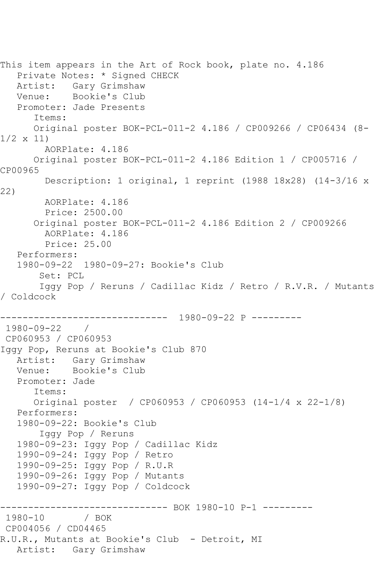This item appears in the Art of Rock book, plate no. 4.186 Private Notes: \* Signed CHECK Artist: Gary Grimshaw Venue: Bookie's Club Promoter: Jade Presents Items: Original poster BOK-PCL-011-2 4.186 / CP009266 / CP06434 (8- 1/2 x 11) AORPlate: 4.186 Original poster BOK-PCL-011-2 4.186 Edition 1 / CP005716 / CP00965 Description: 1 original, 1 reprint (1988 18x28) (14-3/16 x 22) AORPlate: 4.186 Price: 2500.00 Original poster BOK-PCL-011-2 4.186 Edition 2 / CP009266 AORPlate: 4.186 Price: 25.00 Performers: 1980-09-22 1980-09-27: Bookie's Club Set: PCL Iggy Pop / Reruns / Cadillac Kidz / Retro / R.V.R. / Mutants / Coldcock ------------------------------ 1980-09-22 P --------- 1980-09-22 / CP060953 / CP060953 Iggy Pop, Reruns at Bookie's Club 870 Artist: Gary Grimshaw Venue: Bookie's Club Promoter: Jade Items: Original poster / CP060953 / CP060953 (14-1/4 x 22-1/8) Performers: 1980-09-22: Bookie's Club Iggy Pop / Reruns 1980-09-23: Iggy Pop / Cadillac Kidz 1990-09-24: Iggy Pop / Retro 1990-09-25: Iggy Pop / R.U.R 1990-09-26: Iggy Pop / Mutants 1990-09-27: Iggy Pop / Coldcock ------------------------------ BOK 1980-10 P-1 ---------  $1980 - 10$ CP004056 / CD04465 R.U.R., Mutants at Bookie's Club - Detroit, MI Artist: Gary Grimshaw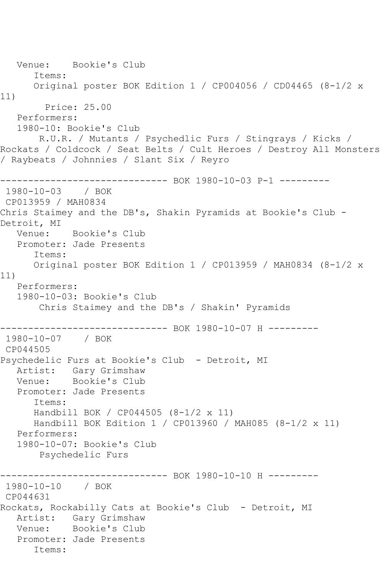Venue: Bookie's Club Items: Original poster BOK Edition 1 / CP004056 / CD04465 (8-1/2 x 11) Price: 25.00 Performers: 1980-10: Bookie's Club R.U.R. / Mutants / Psychedlic Furs / Stingrays / Kicks / Rockats / Coldcock / Seat Belts / Cult Heroes / Destroy All Monsters / Raybeats / Johnnies / Slant Six / Reyro ------------------------------ BOK 1980-10-03 P-1 --------- 1980-10-03 / BOK CP013959 / MAH0834 Chris Staimey and the DB's, Shakin Pyramids at Bookie's Club - Detroit, MI Venue: Bookie's Club Promoter: Jade Presents Items: Original poster BOK Edition 1 / CP013959 / MAH0834 (8-1/2 x 11) Performers: 1980-10-03: Bookie's Club Chris Staimey and the DB's / Shakin' Pyramids ------------------------------ BOK 1980-10-07 H --------- 1980-10-07 / BOK CP044505 Psychedelic Furs at Bookie's Club - Detroit, MI Artist: Gary Grimshaw Venue: Bookie's Club Promoter: Jade Presents Items: Handbill BOK / CP044505 (8-1/2 x 11) Handbill BOK Edition 1 / CP013960 / MAH085 (8-1/2 x 11) Performers: 1980-10-07: Bookie's Club Psychedelic Furs ------------------------------ BOK 1980-10-10 H --------- 1980-10-10 / BOK CP044631 Rockats, Rockabilly Cats at Bookie's Club - Detroit, MI Artist: Gary Grimshaw Venue: Bookie's Club Promoter: Jade Presents Items: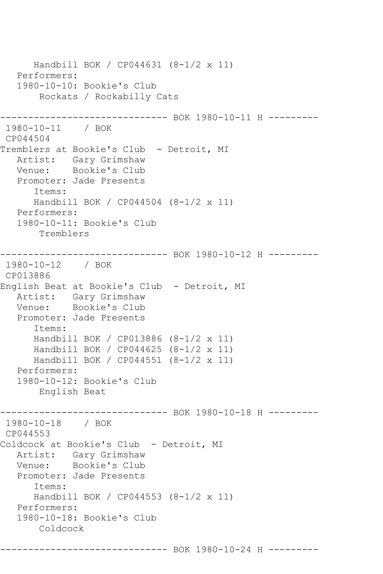Handbill BOK / CP044631 (8-1/2 x 11) Performers: 1980-10-10: Bookie's Club Rockats / Rockabilly Cats ------------------------------ BOK 1980-10-11 H --------- 1980-10-11 / BOK CP044504 Tremblers at Bookie's Club - Detroit, MI Artist: Gary Grimshaw Venue: Bookie's Club Promoter: Jade Presents Items: Handbill BOK / CP044504 (8-1/2 x 11) Performers: 1980-10-11: Bookie's Club Tremblers ------------------------------ BOK 1980-10-12 H --------- 1980-10-12 / BOK CP013886 English Beat at Bookie's Club - Detroit, MI Artist: Gary Grimshaw Venue: Bookie's Club Promoter: Jade Presents Items: Handbill BOK / CP013886 (8-1/2 x 11) Handbill BOK / CP044625 (8-1/2 x 11) Handbill BOK / CP044551 (8-1/2 x 11) Performers: 1980-10-12: Bookie's Club English Beat ------------------------------ BOK 1980-10-18 H --------- 1980-10-18 / BOK CP044553 Coldcock at Bookie's Club - Detroit, MI Artist: Gary Grimshaw Venue: Bookie's Club Promoter: Jade Presents Items: Handbill BOK / CP044553 (8-1/2 x 11) Performers: 1980-10-18: Bookie's Club Coldcock

------------------------------ BOK 1980-10-24 H ---------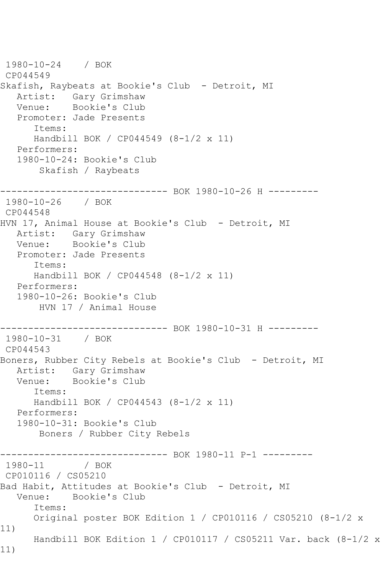1980-10-24 / BOK CP044549 Skafish, Raybeats at Bookie's Club - Detroit, MI Artist: Gary Grimshaw Venue: Bookie's Club Promoter: Jade Presents Items: Handbill BOK / CP044549 (8-1/2 x 11) Performers: 1980-10-24: Bookie's Club Skafish / Raybeats ------------------------------ BOK 1980-10-26 H --------- 1980-10-26 / BOK CP044548 HVN 17, Animal House at Bookie's Club - Detroit, MI Artist: Gary Grimshaw<br>Venue: Bookie's Club Bookie's Club Promoter: Jade Presents Items: Handbill BOK / CP044548 (8-1/2 x 11) Performers: 1980-10-26: Bookie's Club HVN 17 / Animal House ------------------------------ BOK 1980-10-31 H --------- 1980-10-31 / BOK CP044543 Boners, Rubber City Rebels at Bookie's Club - Detroit, MI Artist: Gary Grimshaw Venue: Bookie's Club Items: Handbill BOK / CP044543 (8-1/2 x 11) Performers: 1980-10-31: Bookie's Club Boners / Rubber City Rebels ------------------------------ BOK 1980-11 P-1 --------- 1980-11 / BOK CP010116 / CS05210 Bad Habit, Attitudes at Bookie's Club - Detroit, MI Venue: Bookie's Club Items: Original poster BOK Edition 1 / CP010116 / CS05210 (8-1/2 x 11) Handbill BOK Edition 1 / CP010117 / CS05211 Var. back (8-1/2 x 11)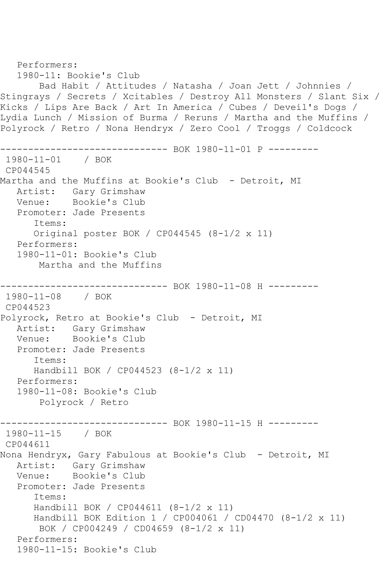```
 Performers:
   1980-11: Bookie's Club
        Bad Habit / Attitudes / Natasha / Joan Jett / Johnnies / 
Stingrays / Secrets / Xcitables / Destroy All Monsters / Slant Six / 
Kicks / Lips Are Back / Art In America / Cubes / Deveil's Dogs / 
Lydia Lunch / Mission of Burma / Reruns / Martha and the Muffins / 
Polyrock / Retro / Nona Hendryx / Zero Cool / Troggs / Coldcock
      ------------------------------ BOK 1980-11-01 P ---------
1980-11-01 / BOK 
CP044545
Martha and the Muffins at Bookie's Club - Detroit, MI
   Artist: Gary Grimshaw
   Venue: Bookie's Club
   Promoter: Jade Presents
       Items:
      Original poster BOK / CP044545 (8-1/2 x 11)
   Performers:
   1980-11-01: Bookie's Club
        Martha and the Muffins
         ------------------------------ BOK 1980-11-08 H ---------
1980-11-08 / BOK 
CP044523
Polyrock, Retro at Bookie's Club - Detroit, MI
   Artist: Gary Grimshaw
   Venue: Bookie's Club
   Promoter: Jade Presents
       Items:
      Handbill BOK / CP044523 (8-1/2 x 11)
   Performers:
   1980-11-08: Bookie's Club
        Polyrock / Retro
                    ---------- BOK 1980-11-15 H ---------
1980-11-15 / BOK 
CP044611
Nona Hendryx, Gary Fabulous at Bookie's Club - Detroit, MI
   Artist: Gary Grimshaw
   Venue: Bookie's Club
   Promoter: Jade Presents
       Items:
      Handbill BOK / CP044611 (8-1/2 x 11)
       Handbill BOK Edition 1 / CP004061 / CD04470 (8-1/2 x 11)
        BOK / CP004249 / CD04659 (8-1/2 x 11)
   Performers:
   1980-11-15: Bookie's Club
```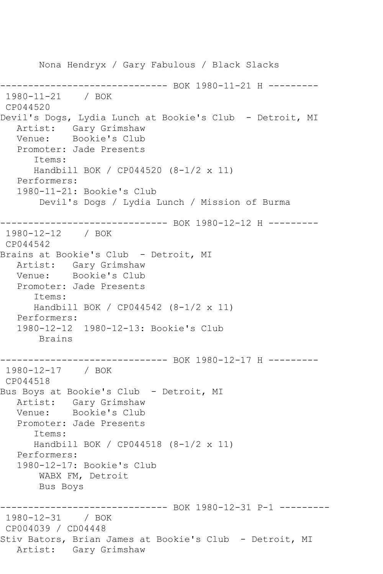Nona Hendryx / Gary Fabulous / Black Slacks ------------------------------ BOK 1980-11-21 H --------- 1980-11-21 / BOK CP044520 Devil's Dogs, Lydia Lunch at Bookie's Club - Detroit, MI Artist: Gary Grimshaw Venue: Bookie's Club Promoter: Jade Presents Items: Handbill BOK / CP044520 (8-1/2 x 11) Performers: 1980-11-21: Bookie's Club Devil's Dogs / Lydia Lunch / Mission of Burma ------------------------------ BOK 1980-12-12 H --------- 1980-12-12 / BOK CP044542 Brains at Bookie's Club - Detroit, MI Artist: Gary Grimshaw Venue: Bookie's Club Promoter: Jade Presents Items: Handbill BOK / CP044542 (8-1/2 x 11) Performers: 1980-12-12 1980-12-13: Bookie's Club Brains ------------------------------ BOK 1980-12-17 H --------- 1980-12-17 / BOK CP044518 Bus Boys at Bookie's Club - Detroit, MI Artist: Gary Grimshaw<br>Venue: Bookie's Club Bookie's Club Promoter: Jade Presents Items: Handbill BOK / CP044518 (8-1/2 x 11) Performers: 1980-12-17: Bookie's Club WABX FM, Detroit Bus Boys ------------------------------ BOK 1980-12-31 P-1 --------- 1980-12-31 / BOK CP004039 / CD04448 Stiv Bators, Brian James at Bookie's Club - Detroit, MI Artist: Gary Grimshaw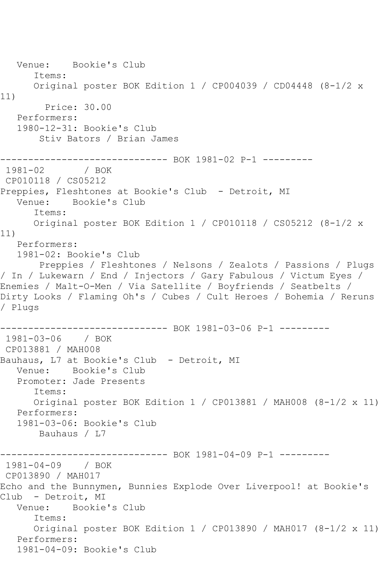Venue: Bookie's Club Items: Original poster BOK Edition 1 / CP004039 / CD04448 (8-1/2 x 11) Price: 30.00 Performers: 1980-12-31: Bookie's Club Stiv Bators / Brian James ------------------------------ BOK 1981-02 P-1 ---------  $1981 - 02$ CP010118 / CS05212 Preppies, Fleshtones at Bookie's Club - Detroit, MI Venue: Bookie's Club Items: Original poster BOK Edition 1 / CP010118 / CS05212 (8-1/2 x 11) Performers: 1981-02: Bookie's Club Preppies / Fleshtones / Nelsons / Zealots / Passions / Plugs / In / Lukewarn / End / Injectors / Gary Fabulous / Victum Eyes / Enemies / Malt-O-Men / Via Satellite / Boyfriends / Seatbelts / Dirty Looks / Flaming Oh's / Cubes / Cult Heroes / Bohemia / Reruns / Plugs ------------------------------ BOK 1981-03-06 P-1 --------- 1981-03-06 / BOK CP013881 / MAH008 Bauhaus, L7 at Bookie's Club - Detroit, MI Venue: Bookie's Club Promoter: Jade Presents Items: Original poster BOK Edition 1 / CP013881 / MAH008 (8-1/2 x 11) Performers: 1981-03-06: Bookie's Club Bauhaus / L7 ---------- BOK 1981-04-09 P-1 ---------1981-04-09 / BOK CP013890 / MAH017 Echo and the Bunnymen, Bunnies Explode Over Liverpool! at Bookie's Club - Detroit, MI<br>Venue: Bookie Bookie's Club Items: Original poster BOK Edition 1 / CP013890 / MAH017 (8-1/2 x 11) Performers: 1981-04-09: Bookie's Club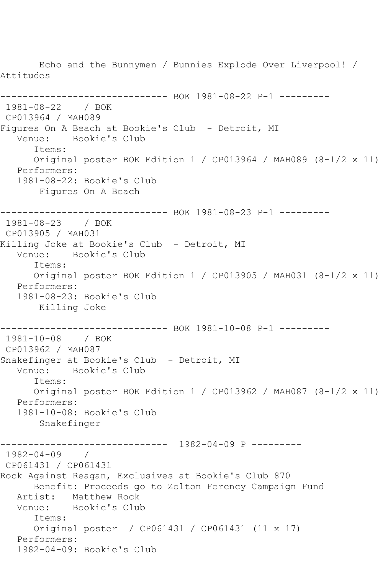Echo and the Bunnymen / Bunnies Explode Over Liverpool! / Attitudes ------------------------------ BOK 1981-08-22 P-1 --------- 1981-08-22 / BOK CP013964 / MAH089 Figures On A Beach at Bookie's Club - Detroit, MI<br>Venue: Bookie's Club Bookie's Club Items: Original poster BOK Edition 1 / CP013964 / MAH089 (8-1/2 x 11) Performers: 1981-08-22: Bookie's Club Figures On A Beach ------------------------------ BOK 1981-08-23 P-1 --------- 1981-08-23 / BOK CP013905 / MAH031 Killing Joke at Bookie's Club - Detroit, MI Venue: Bookie's Club Items: Original poster BOK Edition 1 / CP013905 / MAH031 (8-1/2 x 11) Performers: 1981-08-23: Bookie's Club Killing Joke ------------------------------ BOK 1981-10-08 P-1 --------- 1981-10-08 / BOK CP013962 / MAH087 Snakefinger at Bookie's Club - Detroit, MI<br>Venue: Bookie's Club Bookie's Club Items: Original poster BOK Edition 1 / CP013962 / MAH087 (8-1/2 x 11) Performers: 1981-10-08: Bookie's Club Snakefinger ------------------------------ 1982-04-09 P --------- 1982-04-09 / CP061431 / CP061431 Rock Against Reagan, Exclusives at Bookie's Club 870 Benefit: Proceeds go to Zolton Ferency Campaign Fund Artist: Matthew Rock Venue: Bookie's Club Items: Original poster / CP061431 / CP061431 (11 x 17) Performers: 1982-04-09: Bookie's Club